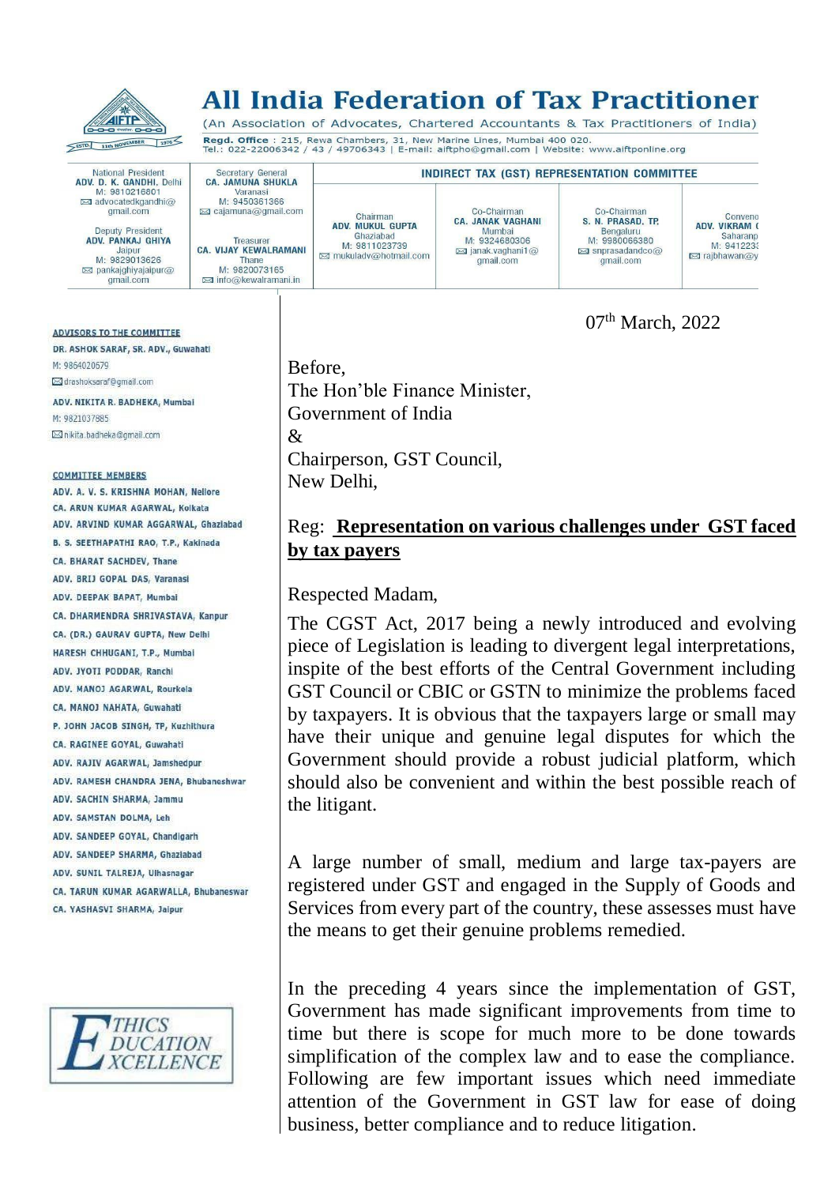

# **All India Federation of Tax Practitioner**

(An Association of Advocates, Chartered Accountants & Tax Practitioners of India) Regd. Office : 215, Rewa Chambers, 31, New Marine Lines, Mumbai 400 020.<br>Tel.: 022-22006342 / 43 / 49706343 | E-mail: aiftpho@gmail.com | Website: www.aiftponline.org

Co-Chairman

**CA. JANAK VAGHANI** 

National President<br>**ADV. D. K. GANDHI,** Delhi<br>M: 9810216801 advocatedkgandhi@ gmail.com

Secretary General<br>CA. JAMUNA SHUKLA

Varanasi

M: 9450361366

⊠ cajamuna@gmail.com

**Deputy President** ADV. PANKAJ GHIYA Jainur M: 9829013626  $\boxtimes$  pankaighivaiaipur@ gmail.com

**ADVISORS TO THE COMMITTEE** 

DR. ASHOK SARAF, SR. ADV., Guwahati M: 9864020679 ⊠ drashoksaraf@gmail.com

ADV. NIKITA R. BADHEKA, Mumbal M: 9821037885 ⊠ nikita.badheka@qmail.com

#### **COMMITTEE MEMBERS**

ADV. A. V. S. KRISHNA MOHAN, Nellore CA. ARUN KUMAR AGARWAL, Kolkata ADV. ARVIND KUMAR AGGARWAL, Ghaziabad B. S. SEETHAPATHI RAO, T.P., Kakinada CA. BHARAT SACHDEV, Thane ADV, BRIJ GOPAL DAS, Varanasi ADV. DEEPAK BAPAT, Mumbal CA. DHARMENDRA SHRIVASTAVA, Kanpur CA. (DR.) GAURAV GUPTA, New Delhi HARESH CHHUGANI, T.P., Mumbai ADV. JYOTI PODDAR, Ranchi ADV, MANOJ AGARWAL, Rourkela CA, MANOJ NAHATA, Guwahati P. JOHN JACOB SINGH, TP, Kuzhithura CA. RAGINEE GOYAL, Guwahati ADV. RAJIV AGARWAL, Jamshedour ADV, RAMESH CHANDRA JENA, Bhubaneshwar ADV. SACHIN SHARMA, Jammu ADV. SAMSTAN DOLMA, Leh ADV. SANDEEP GOYAL, Chandigarh ADV. SANDEEP SHARMA, Ghaziabad ADV. SUNIL TALREJA, Ulhasnagar CA. TARUN KUMAR AGARWALLA, Bhubaneswar CA. YASHASVI SHARMA, Jaipur



Before, The Hon'ble Finance Minister, Government of India & Chairperson, GST Council, New Delhi,

#### Reg: **Representation on various challenges under GST faced by tax payers**

Respected Madam,

The CGST Act, 2017 being a newly introduced and evolving piece of Legislation is leading to divergent legal interpretations, inspite of the best efforts of the Central Government including GST Council or CBIC or GSTN to minimize the problems faced by taxpayers. It is obvious that the taxpayers large or small may have their unique and genuine legal disputes for which the Government should provide a robust judicial platform, which should also be convenient and within the best possible reach of the litigant.

A large number of small, medium and large tax-payers are registered under GST and engaged in the Supply of Goods and Services from every part of the country, these assesses must have the means to get their genuine problems remedied.

In the preceding 4 years since the implementation of GST, Government has made significant improvements from time to time but there is scope for much more to be done towards simplification of the complex law and to ease the compliance. Following are few important issues which need immediate attention of the Government in GST law for ease of doing business, better compliance and to reduce litigation.



Co-Chairman S. N. PRASAD. TP. Bengaluru<br>M: 9980066380  $\boxtimes$  snprasadandco $\textcircled{a}$ gmail.com

**INDIRECT TAX (GST) REPRESENTATION COMMITTEE** 

Conveno<br>ADV. VIKRAM ( Saharanp M: 9412233 **⊠** rajbhawan@y

07<sup>th</sup> March, 2022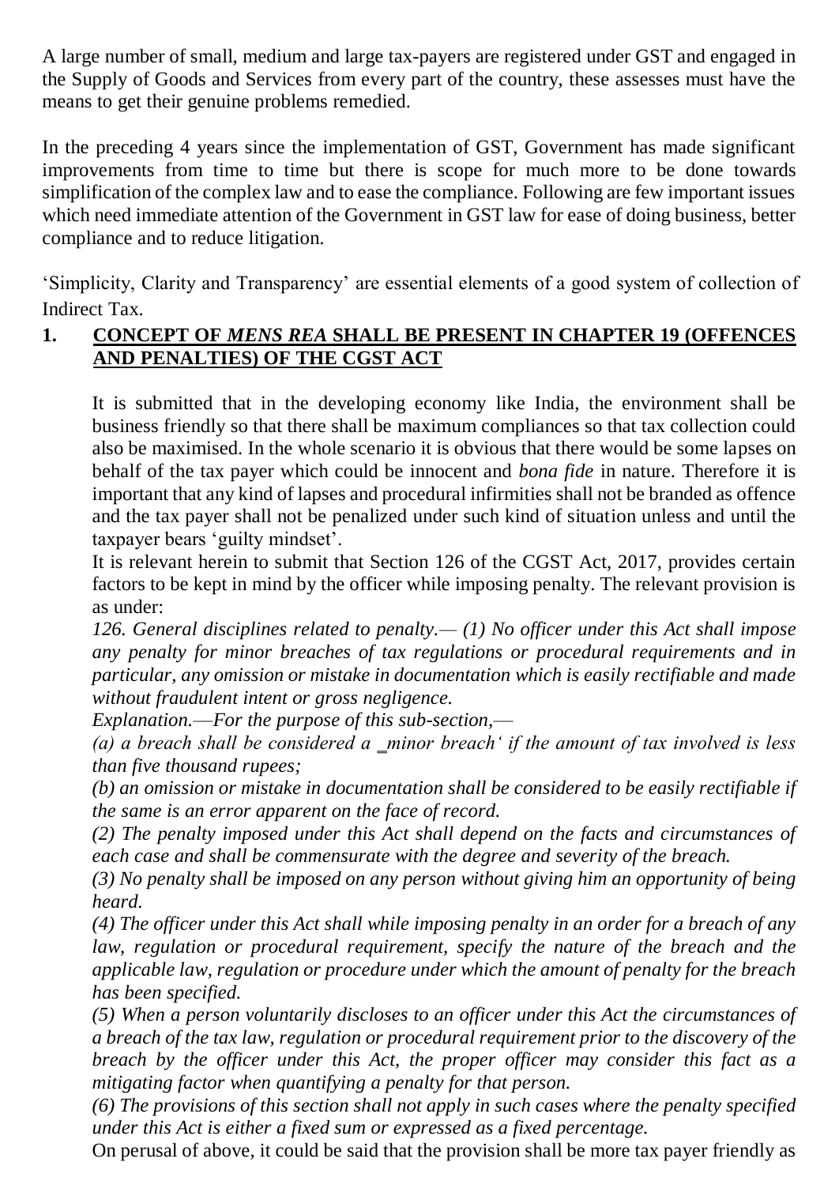A large number of small, medium and large tax-payers are registered under GST and engaged in the Supply of Goods and Services from every part of the country, these assesses must have the means to get their genuine problems remedied.

In the preceding 4 years since the implementation of GST, Government has made significant improvements from time to time but there is scope for much more to be done towards simplification of the complex law and to ease the compliance. Following are few important issues which need immediate attention of the Government in GST law for ease of doing business, better compliance and to reduce litigation.

'Simplicity, Clarity and Transparency' are essential elements of a good system of collection of Indirect Tax.

## **1. CONCEPT OF** *MENS REA* **SHALL BE PRESENT IN CHAPTER 19 (OFFENCES AND PENALTIES) OF THE CGST ACT**

It is submitted that in the developing economy like India, the environment shall be business friendly so that there shall be maximum compliances so that tax collection could also be maximised. In the whole scenario it is obvious that there would be some lapses on behalf of the tax payer which could be innocent and *bona fide* in nature. Therefore it is important that any kind of lapses and procedural infirmities shall not be branded as offence and the tax payer shall not be penalized under such kind of situation unless and until the taxpayer bears 'guilty mindset'.

It is relevant herein to submit that Section 126 of the CGST Act, 2017, provides certain factors to be kept in mind by the officer while imposing penalty. The relevant provision is as under:

*126. General disciplines related to penalty.— (1) No officer under this Act shall impose any penalty for minor breaches of tax regulations or procedural requirements and in particular, any omission or mistake in documentation which is easily rectifiable and made without fraudulent intent or gross negligence.* 

*Explanation.––For the purpose of this sub-section,––*

*(a) a breach shall be considered a ‗minor breach' if the amount of tax involved is less than five thousand rupees;* 

*(b) an omission or mistake in documentation shall be considered to be easily rectifiable if the same is an error apparent on the face of record.* 

*(2) The penalty imposed under this Act shall depend on the facts and circumstances of each case and shall be commensurate with the degree and severity of the breach.* 

*(3) No penalty shall be imposed on any person without giving him an opportunity of being heard.* 

*(4) The officer under this Act shall while imposing penalty in an order for a breach of any law, regulation or procedural requirement, specify the nature of the breach and the applicable law, regulation or procedure under which the amount of penalty for the breach has been specified.*

*(5) When a person voluntarily discloses to an officer under this Act the circumstances of a breach of the tax law, regulation or procedural requirement prior to the discovery of the breach by the officer under this Act, the proper officer may consider this fact as a mitigating factor when quantifying a penalty for that person.* 

*(6) The provisions of this section shall not apply in such cases where the penalty specified under this Act is either a fixed sum or expressed as a fixed percentage.*

On perusal of above, it could be said that the provision shall be more tax payer friendly as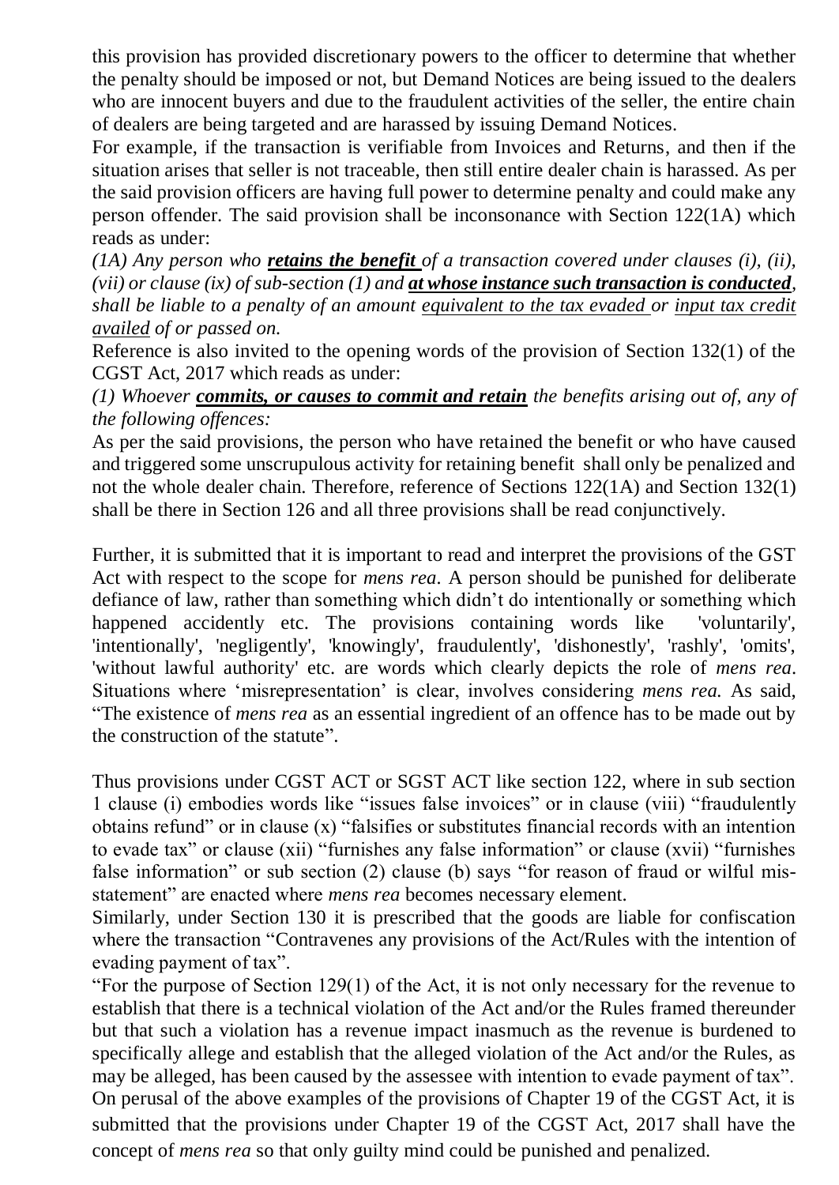this provision has provided discretionary powers to the officer to determine that whether the penalty should be imposed or not, but Demand Notices are being issued to the dealers who are innocent buyers and due to the fraudulent activities of the seller, the entire chain of dealers are being targeted and are harassed by issuing Demand Notices.

For example, if the transaction is verifiable from Invoices and Returns, and then if the situation arises that seller is not traceable, then still entire dealer chain is harassed. As per the said provision officers are having full power to determine penalty and could make any person offender. The said provision shall be inconsonance with Section 122(1A) which reads as under:

*(1A) Any person who retains the benefit of a transaction covered under clauses (i), (ii), (vii) or clause (ix) of sub-section (1) and at whose instance such transaction is conducted, shall be liable to a penalty of an amount equivalent to the tax evaded or input tax credit availed of or passed on.*

Reference is also invited to the opening words of the provision of Section 132(1) of the CGST Act, 2017 which reads as under:

*(1) Whoever commits, or causes to commit and retain the benefits arising out of, any of the following offences:* 

As per the said provisions, the person who have retained the benefit or who have caused and triggered some unscrupulous activity for retaining benefit shall only be penalized and not the whole dealer chain. Therefore, reference of Sections 122(1A) and Section 132(1) shall be there in Section 126 and all three provisions shall be read conjunctively.

Further, it is submitted that it is important to read and interpret the provisions of the GST Act with respect to the scope for *mens rea.* A person should be punished for deliberate defiance of law, rather than something which didn't do intentionally or something which happened accidently etc. The provisions containing words like 'voluntarily', 'intentionally', 'negligently', 'knowingly', fraudulently', 'dishonestly', 'rashly', 'omits', 'without lawful authority' etc. are words which clearly depicts the role of *mens rea*. Situations where 'misrepresentation' is clear, involves considering *mens rea.* As said, "The existence of *mens rea* as an essential ingredient of an offence has to be made out by the construction of the statute".

Thus provisions under CGST ACT or SGST ACT like section 122, where in sub section 1 clause (i) embodies words like "issues false invoices" or in clause (viii) "fraudulently obtains refund" or in clause (x) "falsifies or substitutes financial records with an intention to evade tax" or clause (xii) "furnishes any false information" or clause (xvii) "furnishes false information" or sub section (2) clause (b) says "for reason of fraud or wilful misstatement" are enacted where *mens rea* becomes necessary element.

Similarly, under Section 130 it is prescribed that the goods are liable for confiscation where the transaction "Contravenes any provisions of the Act/Rules with the intention of evading payment of tax".

"For the purpose of Section 129(1) of the Act, it is not only necessary for the revenue to establish that there is a technical violation of the Act and/or the Rules framed thereunder but that such a violation has a revenue impact inasmuch as the revenue is burdened to specifically allege and establish that the alleged violation of the Act and/or the Rules, as may be alleged, has been caused by the assessee with intention to evade payment of tax". On perusal of the above examples of the provisions of Chapter 19 of the CGST Act, it is submitted that the provisions under Chapter 19 of the CGST Act, 2017 shall have the concept of *mens rea* so that only guilty mind could be punished and penalized.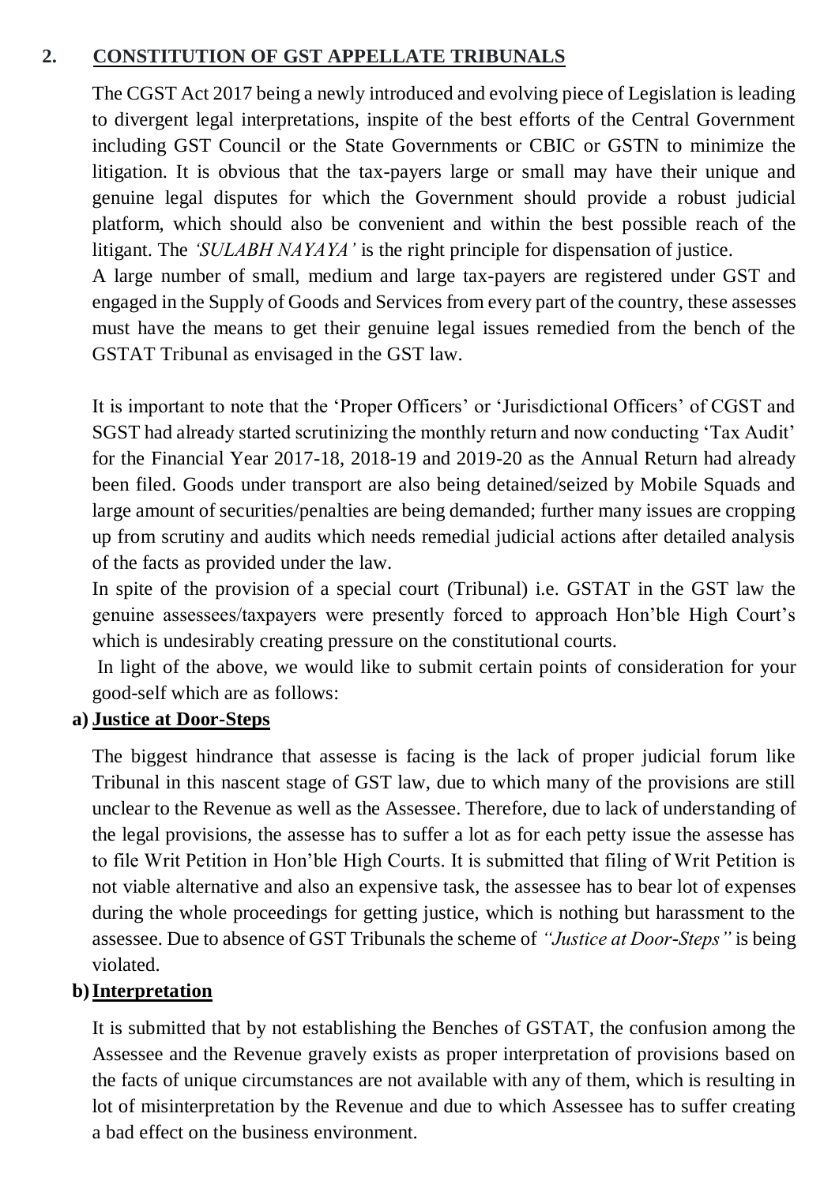### **2. CONSTITUTION OF GST APPELLATE TRIBUNALS**

The CGST Act 2017 being a newly introduced and evolving piece of Legislation is leading to divergent legal interpretations, inspite of the best efforts of the Central Government including GST Council or the State Governments or CBIC or GSTN to minimize the litigation. It is obvious that the tax-payers large or small may have their unique and genuine legal disputes for which the Government should provide a robust judicial platform, which should also be convenient and within the best possible reach of the litigant. The *'SULABH NAYAYA'* is the right principle for dispensation of justice.

A large number of small, medium and large tax-payers are registered under GST and engaged in the Supply of Goods and Services from every part of the country, these assesses must have the means to get their genuine legal issues remedied from the bench of the GSTAT Tribunal as envisaged in the GST law.

It is important to note that the 'Proper Officers' or 'Jurisdictional Officers' of CGST and SGST had already started scrutinizing the monthly return and now conducting 'Tax Audit' for the Financial Year 2017-18, 2018-19 and 2019-20 as the Annual Return had already been filed. Goods under transport are also being detained/seized by Mobile Squads and large amount of securities/penalties are being demanded; further many issues are cropping up from scrutiny and audits which needs remedial judicial actions after detailed analysis of the facts as provided under the law.

In spite of the provision of a special court (Tribunal) i.e. GSTAT in the GST law the genuine assessees/taxpayers were presently forced to approach Hon'ble High Court's which is undesirably creating pressure on the constitutional courts.

In light of the above, we would like to submit certain points of consideration for your good-self which are as follows:

#### **a) Justice at Door-Steps**

The biggest hindrance that assesse is facing is the lack of proper judicial forum like Tribunal in this nascent stage of GST law, due to which many of the provisions are still unclear to the Revenue as well as the Assessee. Therefore, due to lack of understanding of the legal provisions, the assesse has to suffer a lot as for each petty issue the assesse has to file Writ Petition in Hon'ble High Courts. It is submitted that filing of Writ Petition is not viable alternative and also an expensive task, the assessee has to bear lot of expenses during the whole proceedings for getting justice, which is nothing but harassment to the assessee. Due to absence of GST Tribunals the scheme of *"Justice at Door-Steps"* is being violated.

#### **b)Interpretation**

It is submitted that by not establishing the Benches of GSTAT, the confusion among the Assessee and the Revenue gravely exists as proper interpretation of provisions based on the facts of unique circumstances are not available with any of them, which is resulting in lot of misinterpretation by the Revenue and due to which Assessee has to suffer creating a bad effect on the business environment.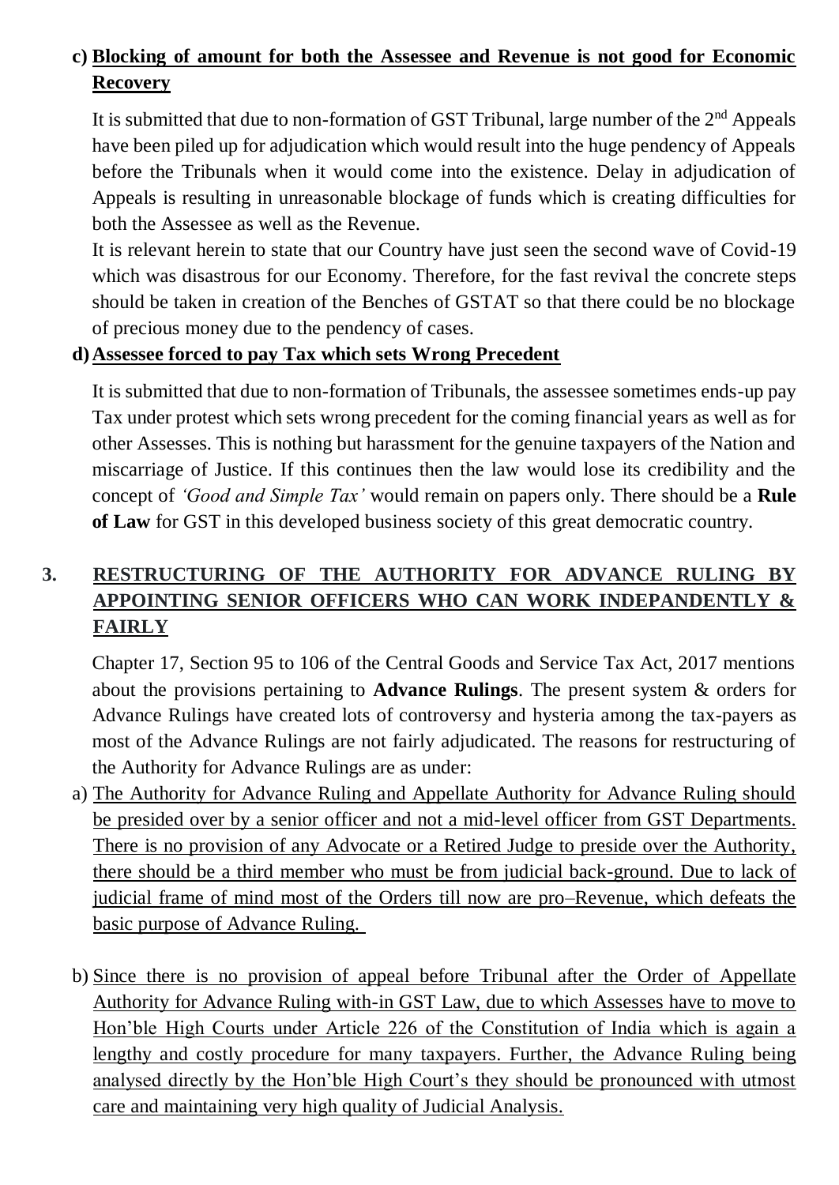# **c) Blocking of amount for both the Assessee and Revenue is not good for Economic Recovery**

It is submitted that due to non-formation of GST Tribunal, large number of the  $2<sup>nd</sup>$  Appeals have been piled up for adjudication which would result into the huge pendency of Appeals before the Tribunals when it would come into the existence. Delay in adjudication of Appeals is resulting in unreasonable blockage of funds which is creating difficulties for both the Assessee as well as the Revenue.

It is relevant herein to state that our Country have just seen the second wave of Covid-19 which was disastrous for our Economy. Therefore, for the fast revival the concrete steps should be taken in creation of the Benches of GSTAT so that there could be no blockage of precious money due to the pendency of cases.

#### **d)Assessee forced to pay Tax which sets Wrong Precedent**

It is submitted that due to non-formation of Tribunals, the assessee sometimes ends-up pay Tax under protest which sets wrong precedent for the coming financial years as well as for other Assesses. This is nothing but harassment for the genuine taxpayers of the Nation and miscarriage of Justice. If this continues then the law would lose its credibility and the concept of *'Good and Simple Tax'* would remain on papers only. There should be a **Rule of Law** for GST in this developed business society of this great democratic country.

# **3. RESTRUCTURING OF THE AUTHORITY FOR ADVANCE RULING BY APPOINTING SENIOR OFFICERS WHO CAN WORK INDEPANDENTLY & FAIRLY**

Chapter 17, Section 95 to 106 of the Central Goods and Service Tax Act, 2017 mentions about the provisions pertaining to **Advance Rulings**. The present system & orders for Advance Rulings have created lots of controversy and hysteria among the tax-payers as most of the Advance Rulings are not fairly adjudicated. The reasons for restructuring of the Authority for Advance Rulings are as under:

- a) The Authority for Advance Ruling and Appellate Authority for Advance Ruling should be presided over by a senior officer and not a mid-level officer from GST Departments. There is no provision of any Advocate or a Retired Judge to preside over the Authority, there should be a third member who must be from judicial back-ground. Due to lack of judicial frame of mind most of the Orders till now are pro–Revenue, which defeats the basic purpose of Advance Ruling.
- b) Since there is no provision of appeal before Tribunal after the Order of Appellate Authority for Advance Ruling with-in GST Law, due to which Assesses have to move to Hon'ble High Courts under Article 226 of the Constitution of India which is again a lengthy and costly procedure for many taxpayers. Further, the Advance Ruling being analysed directly by the Hon'ble High Court's they should be pronounced with utmost care and maintaining very high quality of Judicial Analysis.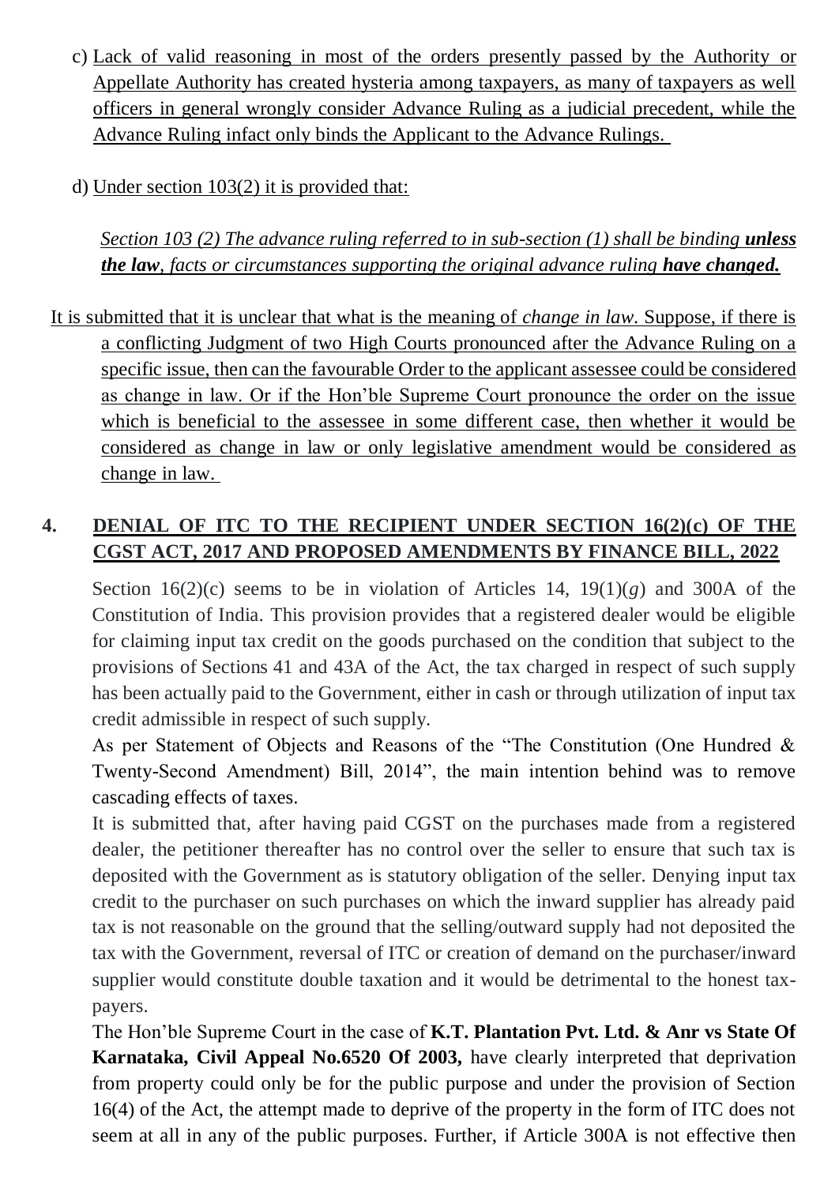- c) Lack of valid reasoning in most of the orders presently passed by the Authority or Appellate Authority has created hysteria among taxpayers, as many of taxpayers as well officers in general wrongly consider Advance Ruling as a judicial precedent, while the Advance Ruling infact only binds the Applicant to the Advance Rulings.
- d) Under section 103(2) it is provided that:

*Section 103 (2) The advance ruling referred to in sub-section (1) shall be binding unless the law, facts or circumstances supporting the original advance ruling have changed.*

It is submitted that it is unclear that what is the meaning of *change in law*. Suppose, if there is a conflicting Judgment of two High Courts pronounced after the Advance Ruling on a specific issue, then can the favourable Order to the applicant assessee could be considered as change in law. Or if the Hon'ble Supreme Court pronounce the order on the issue which is beneficial to the assessee in some different case, then whether it would be considered as change in law or only legislative amendment would be considered as change in law.

# **4. DENIAL OF ITC TO THE RECIPIENT UNDER SECTION 16(2)(c) OF THE CGST ACT, 2017 AND PROPOSED AMENDMENTS BY FINANCE BILL, 2022**

Section  $16(2)(c)$  seems to be in violation of Articles 14,  $19(1)(g)$  and 300A of the Constitution of India. This provision provides that a registered dealer would be eligible for claiming input tax credit on the goods purchased on the condition that subject to the provisions of Sections 41 and 43A of the Act, the tax charged in respect of such supply has been actually paid to the Government, either in cash or through utilization of input tax credit admissible in respect of such supply.

As per Statement of Objects and Reasons of the "The Constitution (One Hundred & Twenty-Second Amendment) Bill, 2014", the main intention behind was to remove cascading effects of taxes.

It is submitted that, after having paid CGST on the purchases made from a registered dealer, the petitioner thereafter has no control over the seller to ensure that such tax is deposited with the Government as is statutory obligation of the seller. Denying input tax credit to the purchaser on such purchases on which the inward supplier has already paid tax is not reasonable on the ground that the selling/outward supply had not deposited the tax with the Government, reversal of ITC or creation of demand on the purchaser/inward supplier would constitute double taxation and it would be detrimental to the honest taxpayers.

The Hon'ble Supreme Court in the case of **K.T. Plantation Pvt. Ltd. & Anr vs State Of Karnataka, Civil Appeal No.6520 Of 2003,** have clearly interpreted that deprivation from property could only be for the public purpose and under the provision of Section 16(4) of the Act, the attempt made to deprive of the property in the form of ITC does not seem at all in any of the public purposes. Further, if Article 300A is not effective then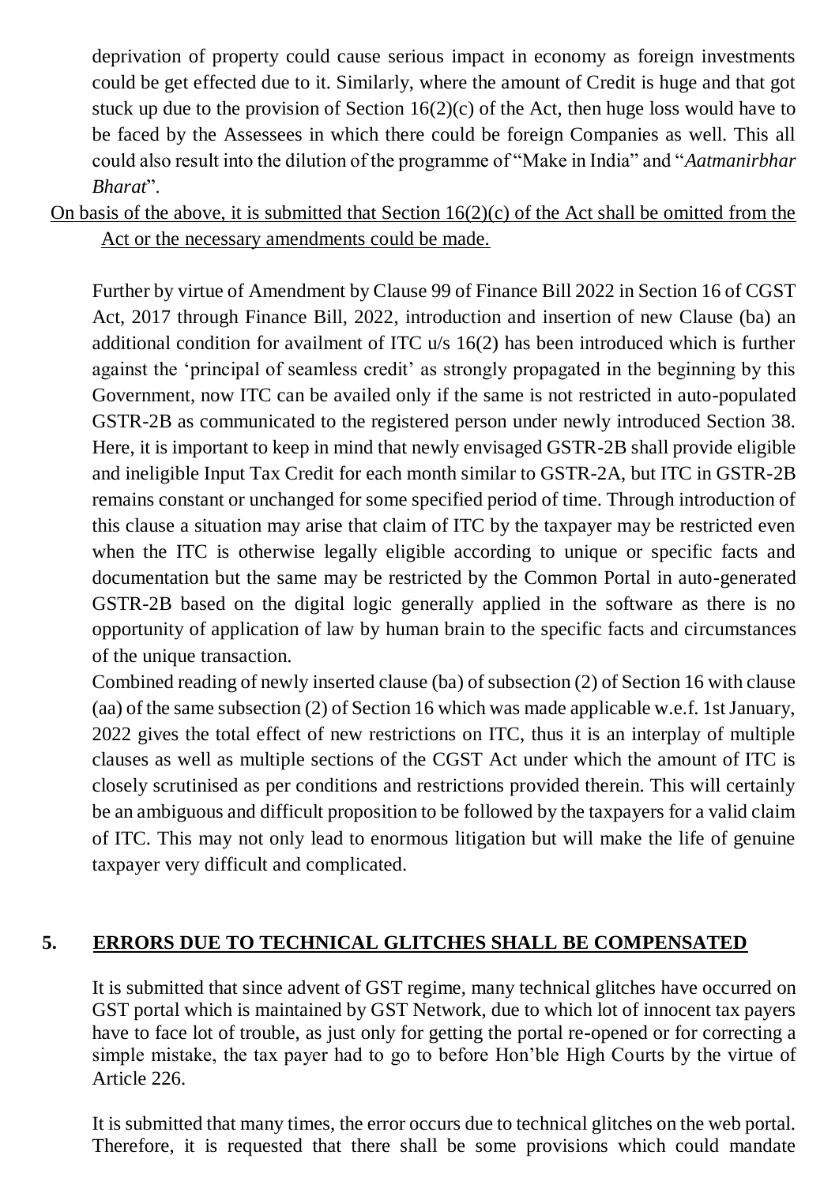deprivation of property could cause serious impact in economy as foreign investments could be get effected due to it. Similarly, where the amount of Credit is huge and that got stuck up due to the provision of Section  $16(2)(c)$  of the Act, then huge loss would have to be faced by the Assessees in which there could be foreign Companies as well. This all could also result into the dilution of the programme of "Make in India" and "*Aatmanirbhar Bharat*".

On basis of the above, it is submitted that Section 16(2)(c) of the Act shall be omitted from the Act or the necessary amendments could be made.

Further by virtue of Amendment by Clause 99 of Finance Bill 2022 in Section 16 of CGST Act, 2017 through Finance Bill, 2022, introduction and insertion of new Clause (ba) an additional condition for availment of ITC u/s 16(2) has been introduced which is further against the 'principal of seamless credit' as strongly propagated in the beginning by this Government, now ITC can be availed only if the same is not restricted in auto-populated GSTR-2B as communicated to the registered person under newly introduced Section 38. Here, it is important to keep in mind that newly envisaged GSTR-2B shall provide eligible and ineligible Input Tax Credit for each month similar to GSTR-2A, but ITC in GSTR-2B remains constant or unchanged for some specified period of time. Through introduction of this clause a situation may arise that claim of ITC by the taxpayer may be restricted even when the ITC is otherwise legally eligible according to unique or specific facts and documentation but the same may be restricted by the Common Portal in auto-generated GSTR-2B based on the digital logic generally applied in the software as there is no opportunity of application of law by human brain to the specific facts and circumstances of the unique transaction.

Combined reading of newly inserted clause (ba) of subsection (2) of Section 16 with clause (aa) of the same subsection (2) of Section 16 which was made applicable w.e.f. 1st January, 2022 gives the total effect of new restrictions on ITC, thus it is an interplay of multiple clauses as well as multiple sections of the CGST Act under which the amount of ITC is closely scrutinised as per conditions and restrictions provided therein. This will certainly be an ambiguous and difficult proposition to be followed by the taxpayers for a valid claim of ITC. This may not only lead to enormous litigation but will make the life of genuine taxpayer very difficult and complicated.

### **5. ERRORS DUE TO TECHNICAL GLITCHES SHALL BE COMPENSATED**

It is submitted that since advent of GST regime, many technical glitches have occurred on GST portal which is maintained by GST Network, due to which lot of innocent tax payers have to face lot of trouble, as just only for getting the portal re-opened or for correcting a simple mistake, the tax payer had to go to before Hon'ble High Courts by the virtue of Article 226.

It is submitted that many times, the error occurs due to technical glitches on the web portal. Therefore, it is requested that there shall be some provisions which could mandate